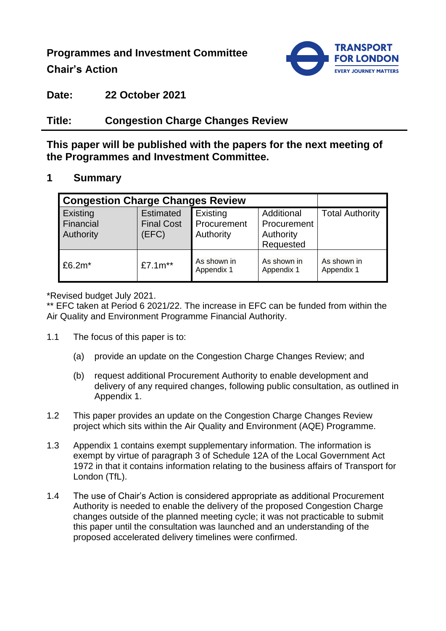**Programmes and Investment Committee**

**Chair's Action**



**Date: 22 October 2021**

# **Title: Congestion Charge Changes Review**

**This paper will be published with the papers for the next meeting of the Programmes and Investment Committee.**

### **1 Summary**

| <b>Congestion Charge Changes Review</b> |                                                |                                      |                                                     |                           |
|-----------------------------------------|------------------------------------------------|--------------------------------------|-----------------------------------------------------|---------------------------|
| Existing<br>Financial<br>Authority      | <b>Estimated</b><br><b>Final Cost</b><br>(EFC) | Existing<br>Procurement<br>Authority | Additional<br>Procurement<br>Authority<br>Requested | <b>Total Authority</b>    |
| $£6.2m*$                                | £7.1m**                                        | As shown in<br>Appendix 1            | As shown in<br>Appendix 1                           | As shown in<br>Appendix 1 |

\*Revised budget July 2021.

\*\* EFC taken at Period 6 2021/22. The increase in EFC can be funded from within the Air Quality and Environment Programme Financial Authority.

- 1.1 The focus of this paper is to:
	- (a) provide an update on the Congestion Charge Changes Review; and
	- (b) request additional Procurement Authority to enable development and delivery of any required changes, following public consultation, as outlined in Appendix 1.
- 1.2 This paper provides an update on the Congestion Charge Changes Review project which sits within the Air Quality and Environment (AQE) Programme.
- 1.3 Appendix 1 contains exempt supplementary information. The information is exempt by virtue of paragraph 3 of Schedule 12A of the Local Government Act 1972 in that it contains information relating to the business affairs of Transport for London (TfL).
- 1.4 The use of Chair's Action is considered appropriate as additional Procurement Authority is needed to enable the delivery of the proposed Congestion Charge changes outside of the planned meeting cycle; it was not practicable to submit this paper until the consultation was launched and an understanding of the proposed accelerated delivery timelines were confirmed.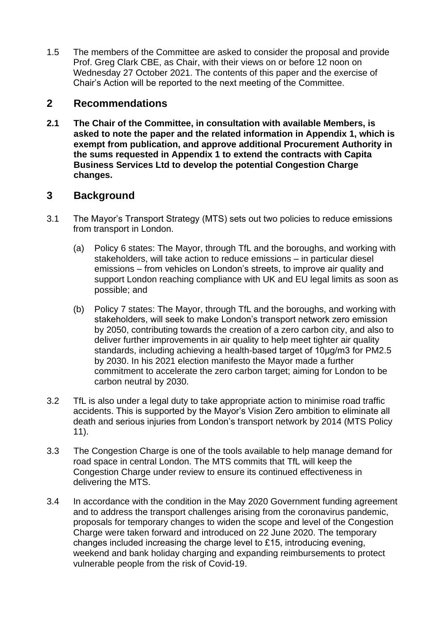1.5 The members of the Committee are asked to consider the proposal and provide Prof. Greg Clark CBE, as Chair, with their views on or before 12 noon on Wednesday 27 October 2021. The contents of this paper and the exercise of Chair's Action will be reported to the next meeting of the Committee.

### **2 Recommendations**

**2.1 The Chair of the Committee, in consultation with available Members, is asked to note the paper and the related information in Appendix 1, which is exempt from publication, and approve additional Procurement Authority in the sums requested in Appendix 1 to extend the contracts with Capita Business Services Ltd to develop the potential Congestion Charge changes.**

# **3 Background**

- 3.1 The Mayor's Transport Strategy (MTS) sets out two policies to reduce emissions from transport in London.
	- (a) Policy 6 states: The Mayor, through TfL and the boroughs, and working with stakeholders, will take action to reduce emissions – in particular diesel emissions – from vehicles on London's streets, to improve air quality and support London reaching compliance with UK and EU legal limits as soon as possible; and
	- (b) Policy 7 states: The Mayor, through TfL and the boroughs, and working with stakeholders, will seek to make London's transport network zero emission by 2050, contributing towards the creation of a zero carbon city, and also to deliver further improvements in air quality to help meet tighter air quality standards, including achieving a health-based target of 10µg/m3 for PM2.5 by 2030. In his 2021 election manifesto the Mayor made a further commitment to accelerate the zero carbon target; aiming for London to be carbon neutral by 2030.
- 3.2 TfL is also under a legal duty to take appropriate action to minimise road traffic accidents. This is supported by the Mayor's Vision Zero ambition to eliminate all death and serious injuries from London's transport network by 2014 (MTS Policy 11).
- 3.3 The Congestion Charge is one of the tools available to help manage demand for road space in central London. The MTS commits that TfL will keep the Congestion Charge under review to ensure its continued effectiveness in delivering the MTS.
- 3.4 In accordance with the condition in the May 2020 Government funding agreement and to address the transport challenges arising from the coronavirus pandemic, proposals for temporary changes to widen the scope and level of the Congestion Charge were taken forward and introduced on 22 June 2020. The temporary changes included increasing the charge level to £15, introducing evening, weekend and bank holiday charging and expanding reimbursements to protect vulnerable people from the risk of Covid-19.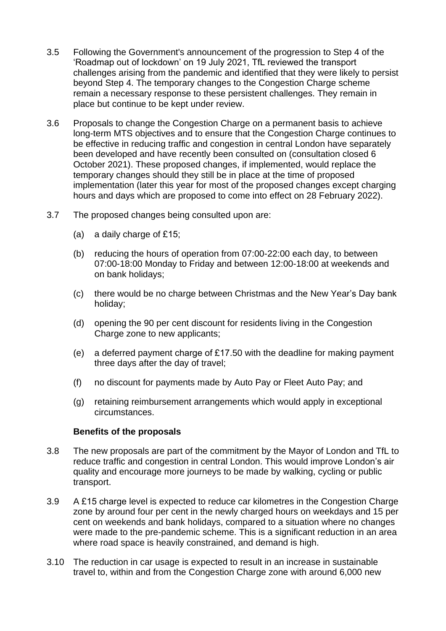- 3.5 Following the Government's announcement of the progression to Step 4 of the 'Roadmap out of lockdown' on 19 July 2021, TfL reviewed the transport challenges arising from the pandemic and identified that they were likely to persist beyond Step 4. The temporary changes to the Congestion Charge scheme remain a necessary response to these persistent challenges. They remain in place but continue to be kept under review.
- 3.6 Proposals to change the Congestion Charge on a permanent basis to achieve long-term MTS objectives and to ensure that the Congestion Charge continues to be effective in reducing traffic and congestion in central London have separately been developed and have recently been consulted on (consultation closed 6 October 2021). These proposed changes, if implemented, would replace the temporary changes should they still be in place at the time of proposed implementation (later this year for most of the proposed changes except charging hours and days which are proposed to come into effect on 28 February 2022).
- 3.7 The proposed changes being consulted upon are:
	- (a) a daily charge of £15;
	- (b) reducing the hours of operation from 07:00-22:00 each day, to between 07:00-18:00 Monday to Friday and between 12:00-18:00 at weekends and on bank holidays;
	- (c) there would be no charge between Christmas and the New Year's Day bank holiday;
	- (d) opening the 90 per cent discount for residents living in the Congestion Charge zone to new applicants;
	- (e) a deferred payment charge of £17.50 with the deadline for making payment three days after the day of travel;
	- (f) no discount for payments made by Auto Pay or Fleet Auto Pay; and
	- (g) retaining reimbursement arrangements which would apply in exceptional circumstances.

#### **Benefits of the proposals**

- 3.8 The new proposals are part of the commitment by the Mayor of London and TfL to reduce traffic and congestion in central London. This would improve London's air quality and encourage more journeys to be made by walking, cycling or public transport.
- 3.9 A £15 charge level is expected to reduce car kilometres in the Congestion Charge zone by around four per cent in the newly charged hours on weekdays and 15 per cent on weekends and bank holidays, compared to a situation where no changes were made to the pre-pandemic scheme. This is a significant reduction in an area where road space is heavily constrained, and demand is high.
- 3.10 The reduction in car usage is expected to result in an increase in sustainable travel to, within and from the Congestion Charge zone with around 6,000 new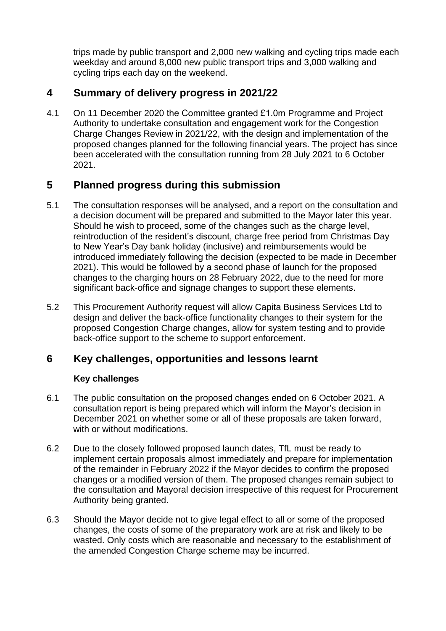trips made by public transport and 2,000 new walking and cycling trips made each weekday and around 8,000 new public transport trips and 3,000 walking and cycling trips each day on the weekend.

# **4 Summary of delivery progress in 2021/22**

4.1 On 11 December 2020 the Committee granted £1.0m Programme and Project Authority to undertake consultation and engagement work for the Congestion Charge Changes Review in 2021/22, with the design and implementation of the proposed changes planned for the following financial years. The project has since been accelerated with the consultation running from 28 July 2021 to 6 October 2021.

# **5 Planned progress during this submission**

- 5.1 The consultation responses will be analysed, and a report on the consultation and a decision document will be prepared and submitted to the Mayor later this year. Should he wish to proceed, some of the changes such as the charge level, reintroduction of the resident's discount, charge free period from Christmas Day to New Year's Day bank holiday (inclusive) and reimbursements would be introduced immediately following the decision (expected to be made in December 2021). This would be followed by a second phase of launch for the proposed changes to the charging hours on 28 February 2022, due to the need for more significant back-office and signage changes to support these elements.
- 5.2 This Procurement Authority request will allow Capita Business Services Ltd to design and deliver the back-office functionality changes to their system for the proposed Congestion Charge changes, allow for system testing and to provide back-office support to the scheme to support enforcement.

# **6 Key challenges, opportunities and lessons learnt**

### **Key challenges**

- 6.1 The public consultation on the proposed changes ended on 6 October 2021. A consultation report is being prepared which will inform the Mayor's decision in December 2021 on whether some or all of these proposals are taken forward, with or without modifications.
- 6.2 Due to the closely followed proposed launch dates, TfL must be ready to implement certain proposals almost immediately and prepare for implementation of the remainder in February 2022 if the Mayor decides to confirm the proposed changes or a modified version of them. The proposed changes remain subject to the consultation and Mayoral decision irrespective of this request for Procurement Authority being granted.
- 6.3 Should the Mayor decide not to give legal effect to all or some of the proposed changes, the costs of some of the preparatory work are at risk and likely to be wasted. Only costs which are reasonable and necessary to the establishment of the amended Congestion Charge scheme may be incurred.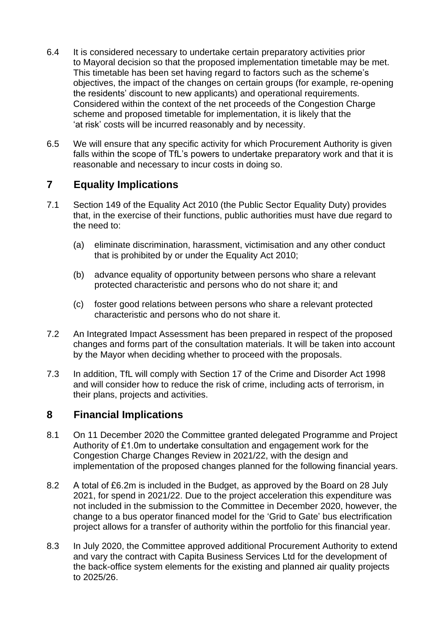- 6.4 It is considered necessary to undertake certain preparatory activities prior to Mayoral decision so that the proposed implementation timetable may be met. This timetable has been set having regard to factors such as the scheme's objectives, the impact of the changes on certain groups (for example, re-opening the residents' discount to new applicants) and operational requirements. Considered within the context of the net proceeds of the Congestion Charge scheme and proposed timetable for implementation, it is likely that the 'at risk' costs will be incurred reasonably and by necessity.
- 6.5 We will ensure that any specific activity for which Procurement Authority is given falls within the scope of TfL's powers to undertake preparatory work and that it is reasonable and necessary to incur costs in doing so.

# **7 Equality Implications**

- 7.1 Section 149 of the Equality Act 2010 (the Public Sector Equality Duty) provides that, in the exercise of their functions, public authorities must have due regard to the need to:
	- (a) eliminate discrimination, harassment, victimisation and any other conduct that is prohibited by or under the Equality Act 2010;
	- (b) advance equality of opportunity between persons who share a relevant protected characteristic and persons who do not share it; and
	- (c) foster good relations between persons who share a relevant protected characteristic and persons who do not share it.
- 7.2 An Integrated Impact Assessment has been prepared in respect of the proposed changes and forms part of the consultation materials. It will be taken into account by the Mayor when deciding whether to proceed with the proposals.
- 7.3 In addition, TfL will comply with Section 17 of the Crime and Disorder Act 1998 and will consider how to reduce the risk of crime, including acts of terrorism, in their plans, projects and activities.

### **8 Financial Implications**

- 8.1 On 11 December 2020 the Committee granted delegated Programme and Project Authority of £1.0m to undertake consultation and engagement work for the Congestion Charge Changes Review in 2021/22, with the design and implementation of the proposed changes planned for the following financial years.
- 8.2 A total of £6.2m is included in the Budget, as approved by the Board on 28 July 2021, for spend in 2021/22. Due to the project acceleration this expenditure was not included in the submission to the Committee in December 2020, however, the change to a bus operator financed model for the 'Grid to Gate' bus electrification project allows for a transfer of authority within the portfolio for this financial year.
- 8.3 In July 2020, the Committee approved additional Procurement Authority to extend and vary the contract with Capita Business Services Ltd for the development of the back-office system elements for the existing and planned air quality projects to 2025/26.